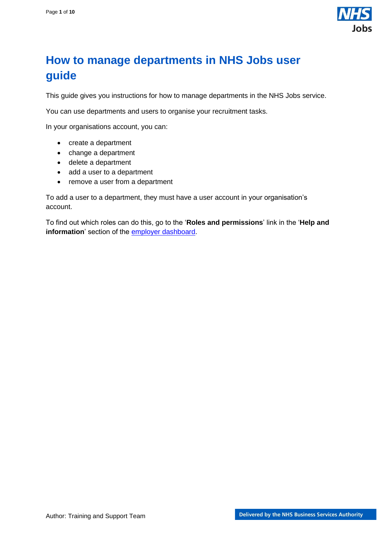

## <span id="page-0-0"></span>**How to manage departments in NHS Jobs user guide**

This guide gives you instructions for how to manage departments in the NHS Jobs service.

You can use departments and users to organise your recruitment tasks.

In your organisations account, you can:

- create a department
- change a department
- delete a department
- add a user to a department
- remove a user from a department

To add a user to a department, they must have a user account in your organisation's account.

To find out which roles can do this, go to the '**Roles and permissions**' link in the '**Help and information**' section of the **employer dashboard**.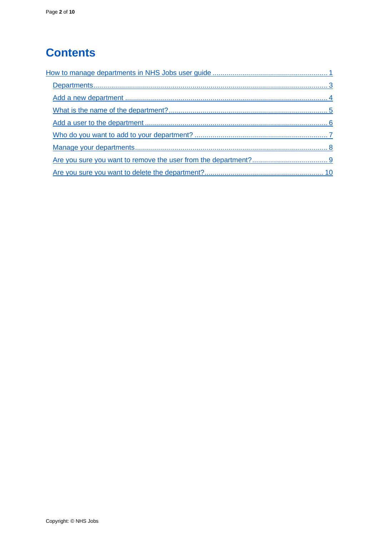# **Contents**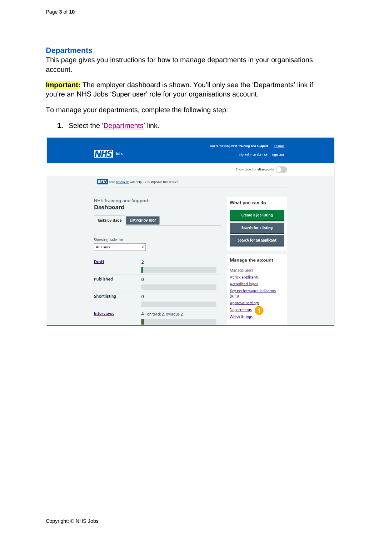#### <span id="page-2-0"></span>**Departments**

This page gives you instructions for how to manage departments in your organisations account.

**Important:** The employer dashboard is shown. You'll only see the 'Departments' link if you're an NHS Jobs 'Super user' role for your organisations account.

To manage your departments, complete the following step:

1. Select the ['Departments'](#page-3-0) link.

| Jobs                                                |                                                                 | You're viewing NHS Training and Support<br>Change<br>Signed in as Liam M1 Sign Out |
|-----------------------------------------------------|-----------------------------------------------------------------|------------------------------------------------------------------------------------|
|                                                     |                                                                 | Show tasks for all accounts                                                        |
|                                                     | <b>BETA</b> Your feedback will help us to improve this service. |                                                                                    |
| <b>NHS Training and Support</b><br><b>Dashboard</b> |                                                                 | What you can do                                                                    |
| Tasks by stage                                      | <b>Listings by user</b>                                         | <b>Create a job listing</b><br>Search for a listing                                |
| Showing tasks for<br>All users                      | $\check{~}$                                                     | Search for an applicant                                                            |
| <b>Draft</b>                                        | $\overline{2}$                                                  | <b>Manage the account</b><br>Manage users                                          |
| <b>Published</b>                                    | $\mathbf{0}$                                                    | At risk applicants<br><b>Accredited logos</b>                                      |
| <b>Shortlisting</b>                                 | $\mathbf{0}$                                                    | Key performance indicators<br>(KPIs)<br><b>Approval settings</b>                   |
| <b>Interviews</b>                                   | 4 - on track 2, overdue 2                                       | Departments<br><b>Welsh listings</b>                                               |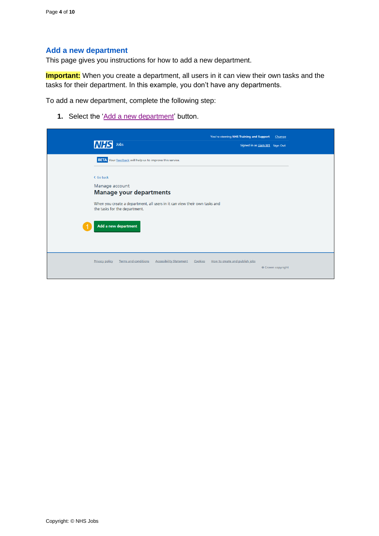#### <span id="page-3-0"></span>**Add a new department**

This page gives you instructions for how to add a new department.

**Important:** When you create a department, all users in it can view their own tasks and the tasks for their department. In this example, you don't have any departments.

To add a new department, complete the following step:

1. Select the ['Add a new department'](#page-4-0) button.

| <b>INHS</b><br>Jobs                                                                                         | You're viewing NHS Training and Support<br>Signed in as Liam M1 Sign Out | Change            |
|-------------------------------------------------------------------------------------------------------------|--------------------------------------------------------------------------|-------------------|
| <b>BETA</b> Your feedback will help us to improve this service.                                             |                                                                          |                   |
| < Go back                                                                                                   |                                                                          |                   |
| Manage account<br><b>Manage your departments</b>                                                            |                                                                          |                   |
| When you create a department, all users in it can view their own tasks and<br>the tasks for the department. |                                                                          |                   |
| Add a new department                                                                                        |                                                                          |                   |
| Terms and conditions<br><b>Accessibility Statement</b><br><b>Privacy policy</b>                             | How to create and publish jobs<br>Cookies                                | © Crown copyright |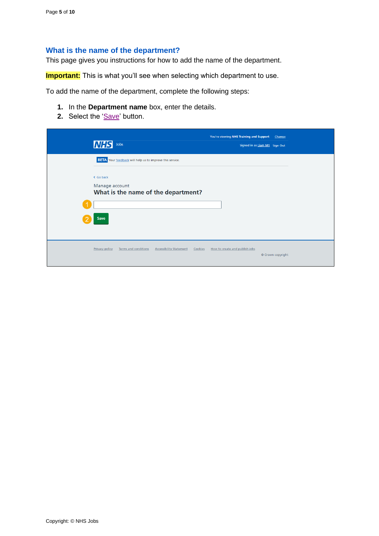### <span id="page-4-0"></span>**What is the name of the department?**

This page gives you instructions for how to add the name of the department.

**Important:** This is what you'll see when selecting which department to use.

To add the name of the department, complete the following steps:

- **1.** In the **Department name** box, enter the details.
- **2.** Select the ['Save'](#page-5-0) button.

|                                                                                 | You're viewing NHS Training and Support Change |                   |
|---------------------------------------------------------------------------------|------------------------------------------------|-------------------|
| <b>NHS</b><br>Jobs                                                              | Signed in as Liam M1 Sign Out                  |                   |
| <b>BETA</b> Your feedback will help us to improve this service.                 |                                                |                   |
| < Go back                                                                       |                                                |                   |
| Manage account<br>What is the name of the department?                           |                                                |                   |
|                                                                                 |                                                |                   |
| Save                                                                            |                                                |                   |
|                                                                                 |                                                |                   |
|                                                                                 |                                                |                   |
| <b>Privacy policy</b><br>Terms and conditions<br><b>Accessibility Statement</b> | Cookies How to create and publish jobs         | © Crown copyright |
|                                                                                 |                                                |                   |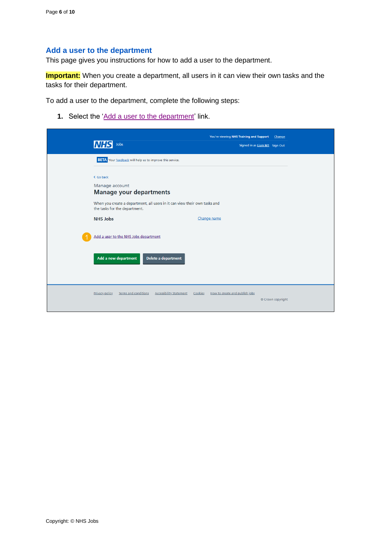#### <span id="page-5-0"></span>**Add a user to the department**

This page gives you instructions for how to add a user to the department.

**Important:** When you create a department, all users in it can view their own tasks and the tasks for their department.

To add a user to the department, complete the following steps:

**1.** Select the 'Add a user [to the department'](#page-6-0) link.

| Jobs<br>MHSI                                                                                                | You're viewing NHS Training and Support<br>Change<br>Signed in as Liam M1 Sign Out |
|-------------------------------------------------------------------------------------------------------------|------------------------------------------------------------------------------------|
| <b>BETA</b> Your feedback will help us to improve this service.                                             |                                                                                    |
| < Go back                                                                                                   |                                                                                    |
| Manage account<br><b>Manage your departments</b>                                                            |                                                                                    |
| When you create a department, all users in it can view their own tasks and<br>the tasks for the department. |                                                                                    |
| <b>NHS Jobs</b>                                                                                             | Change name                                                                        |
| Add a user to the NHS Jobs department                                                                       |                                                                                    |
| Add a new department<br>Delete a department                                                                 |                                                                                    |
| <b>Terms and conditions</b><br><b>Accessibility Statement</b><br><b>Privacy policy</b>                      | Cookies<br>How to create and publish jobs<br>© Crown copyright                     |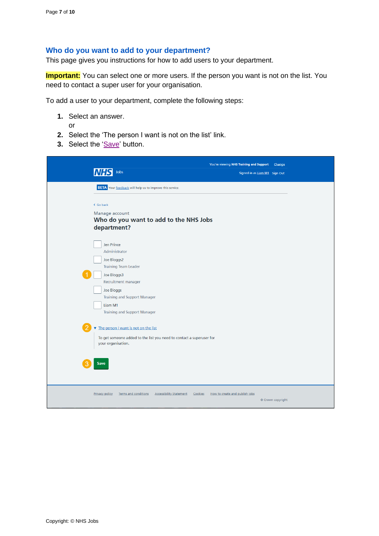#### <span id="page-6-0"></span>**Who do you want to add to your department?**

This page gives you instructions for how to add users to your department.

**Important:** You can select one or more users. If the person you want is not on the list. You need to contact a super user for your organisation.

To add a user to your department, complete the following steps:

- **1.** Select an answer.
	- or
- **2.** Select the 'The person I want is not on the list' link.
- **3.** Select the ['Save'](#page-7-0) button.

| Jobs<br>INH.                                                                                                                               | You're viewing NHS Training and Support<br>Signed in as Liam M1 Sign Out | Change            |
|--------------------------------------------------------------------------------------------------------------------------------------------|--------------------------------------------------------------------------|-------------------|
| <b>BETA</b> Your feedback will help us to improve this service.                                                                            |                                                                          |                   |
| < Go back<br>Manage account<br>Who do you want to add to the NHS Jobs<br>department?                                                       |                                                                          |                   |
| Jen Prince<br>Administrator<br>Joe Bloggs2<br><b>Training Team Leader</b><br>Joe Bloggs3<br>Recruitment manager                            |                                                                          |                   |
| Joe Bloggs<br><b>Training and Support Manager</b><br>Liam M1<br><b>Training and Support Manager</b>                                        |                                                                          |                   |
| The person I want is not on the list<br>To get someone added to the list you need to contact a superuser for<br>your organisation.<br>Save |                                                                          |                   |
| <b>Privacy policy</b><br><b>Terms and conditions</b><br><b>Accessibility Statement</b><br>Cookies                                          | How to create and publish jobs                                           | © Crown copyright |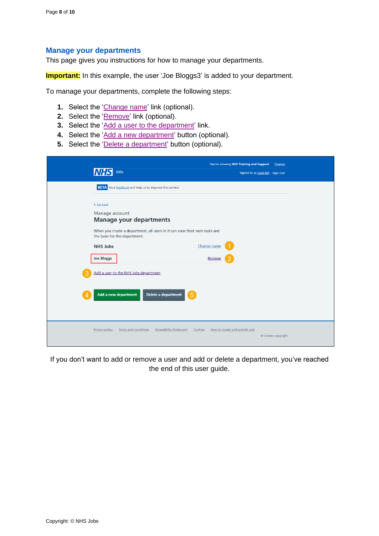#### <span id="page-7-0"></span>**Manage your departments**

This page gives you instructions for how to manage your departments.

**Important:** In this example, the user 'Joe Bloggs3' is added to your department.

To manage your departments, complete the following steps:

- **1.** Select the ['Change name'](#page-4-0) link (optional).
- **2.** Select the ['Remove'](#page-8-0) link (optional).
- **3.** Select the ['Add a user to the department'](#page-6-0) link.
- **4.** Select the ['Add a new department'](#page-4-0) button (optional).
- **5.** Select the ['Delete a department'](#page-9-0) button (optional).

| Jobs                                                                                                                                                                         | You're viewing NHS Training and Support<br>Change<br>Signed in as Liam M1 Sign Out |
|------------------------------------------------------------------------------------------------------------------------------------------------------------------------------|------------------------------------------------------------------------------------|
| <b>BETA</b> Your feedback will help us to improve this service.                                                                                                              |                                                                                    |
| < Go back<br>Manage account<br><b>Manage your departments</b><br>When you create a department, all users in it can view their own tasks and<br>the tasks for the department. |                                                                                    |
| <b>NHS Jobs</b>                                                                                                                                                              | Change name                                                                        |
| <b>Joe Bloggs</b>                                                                                                                                                            | Remove                                                                             |
| Add a user to the NHS Jobs department                                                                                                                                        |                                                                                    |
| Add a new department<br>Delete a department<br>Δ                                                                                                                             | $\overline{5}$                                                                     |
| <b>Privacy policy</b><br>Terms and conditions<br><b>Accessibility Statement</b>                                                                                              | How to create and publish jobs<br>Cookies<br>© Crown copyright                     |

If you don't want to add or remove a user and add or delete a department, you've reached the end of this user guide.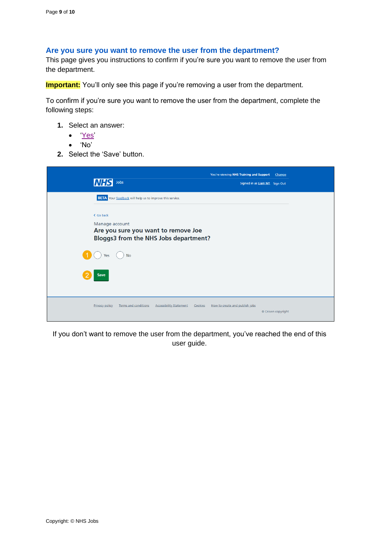#### <span id="page-8-0"></span>**Are you sure you want to remove the user from the department?**

This page gives you instructions to confirm if you're sure you want to remove the user from the department.

**Important:** You'll only see this page if you're removing a user from the department.

To confirm if you're sure you want to remove the user from the department, complete the following steps:

- **1.** Select an answer:
	- ['Yes'](#page-5-0)
	- 'No'
- **2.** Select the 'Save' button.

| <b>NHS</b><br>Jobs                                                                                    | You're viewing NHS Training and Support<br>Signed in as Liam M1 Sign Out | Change            |
|-------------------------------------------------------------------------------------------------------|--------------------------------------------------------------------------|-------------------|
| <b>BETA</b> Your feedback will help us to improve this service.                                       |                                                                          |                   |
| < Go back                                                                                             |                                                                          |                   |
| Manage account<br>Are you sure you want to remove Joe<br><b>Bloggs3 from the NHS Jobs department?</b> |                                                                          |                   |
| <b>No</b><br>Yes                                                                                      |                                                                          |                   |
| Save                                                                                                  |                                                                          |                   |
| <b>Accessibility Statement</b><br><b>Privacy policy</b><br><b>Terms and conditions</b><br>Cookies     | How to create and publish jobs                                           | © Crown copyright |

If you don't want to remove the user from the department, you've reached the end of this user guide.